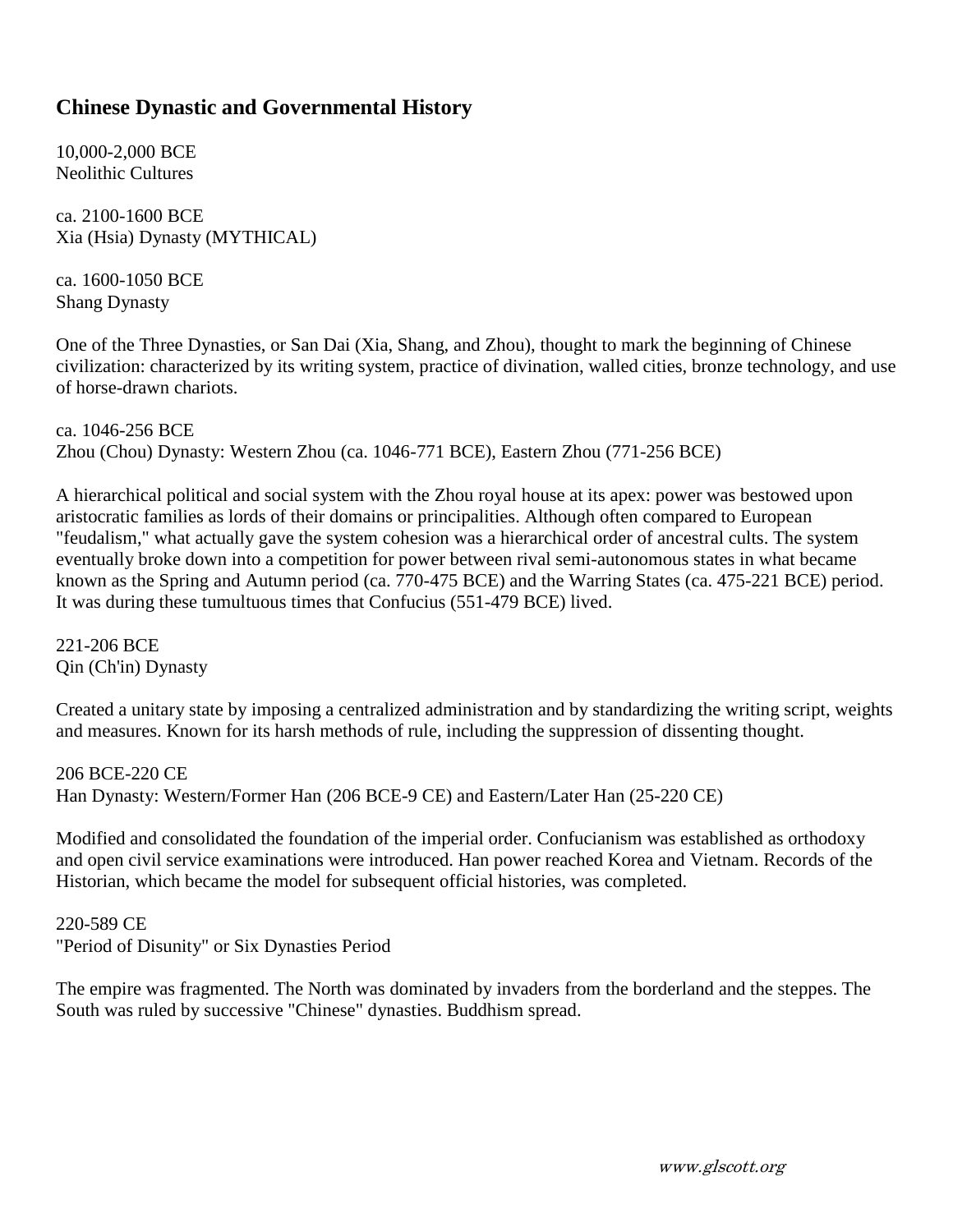## **Chinese Dynastic and Governmental History**

10,000-2,000 BCE Neolithic Cultures

ca. 2100-1600 BCE Xia (Hsia) Dynasty (MYTHICAL)

ca. 1600-1050 BCE Shang Dynasty

One of the Three Dynasties, or San Dai (Xia, Shang, and Zhou), thought to mark the beginning of Chinese civilization: characterized by its writing system, practice of divination, walled cities, bronze technology, and use of horse-drawn chariots.

ca. 1046-256 BCE Zhou (Chou) Dynasty: Western Zhou (ca. 1046-771 BCE), Eastern Zhou (771-256 BCE)

A hierarchical political and social system with the Zhou royal house at its apex: power was bestowed upon aristocratic families as lords of their domains or principalities. Although often compared to European "feudalism," what actually gave the system cohesion was a hierarchical order of ancestral cults. The system eventually broke down into a competition for power between rival semi-autonomous states in what became known as the Spring and Autumn period (ca. 770-475 BCE) and the Warring States (ca. 475-221 BCE) period. It was during these tumultuous times that Confucius (551-479 BCE) lived.

221-206 BCE Qin (Ch'in) Dynasty

Created a unitary state by imposing a centralized administration and by standardizing the writing script, weights and measures. Known for its harsh methods of rule, including the suppression of dissenting thought.

206 BCE-220 CE Han Dynasty: Western/Former Han (206 BCE-9 CE) and Eastern/Later Han (25-220 CE)

Modified and consolidated the foundation of the imperial order. Confucianism was established as orthodoxy and open civil service examinations were introduced. Han power reached Korea and Vietnam. Records of the Historian, which became the model for subsequent official histories, was completed.

220-589 CE "Period of Disunity" or Six Dynasties Period

The empire was fragmented. The North was dominated by invaders from the borderland and the steppes. The South was ruled by successive "Chinese" dynasties. Buddhism spread.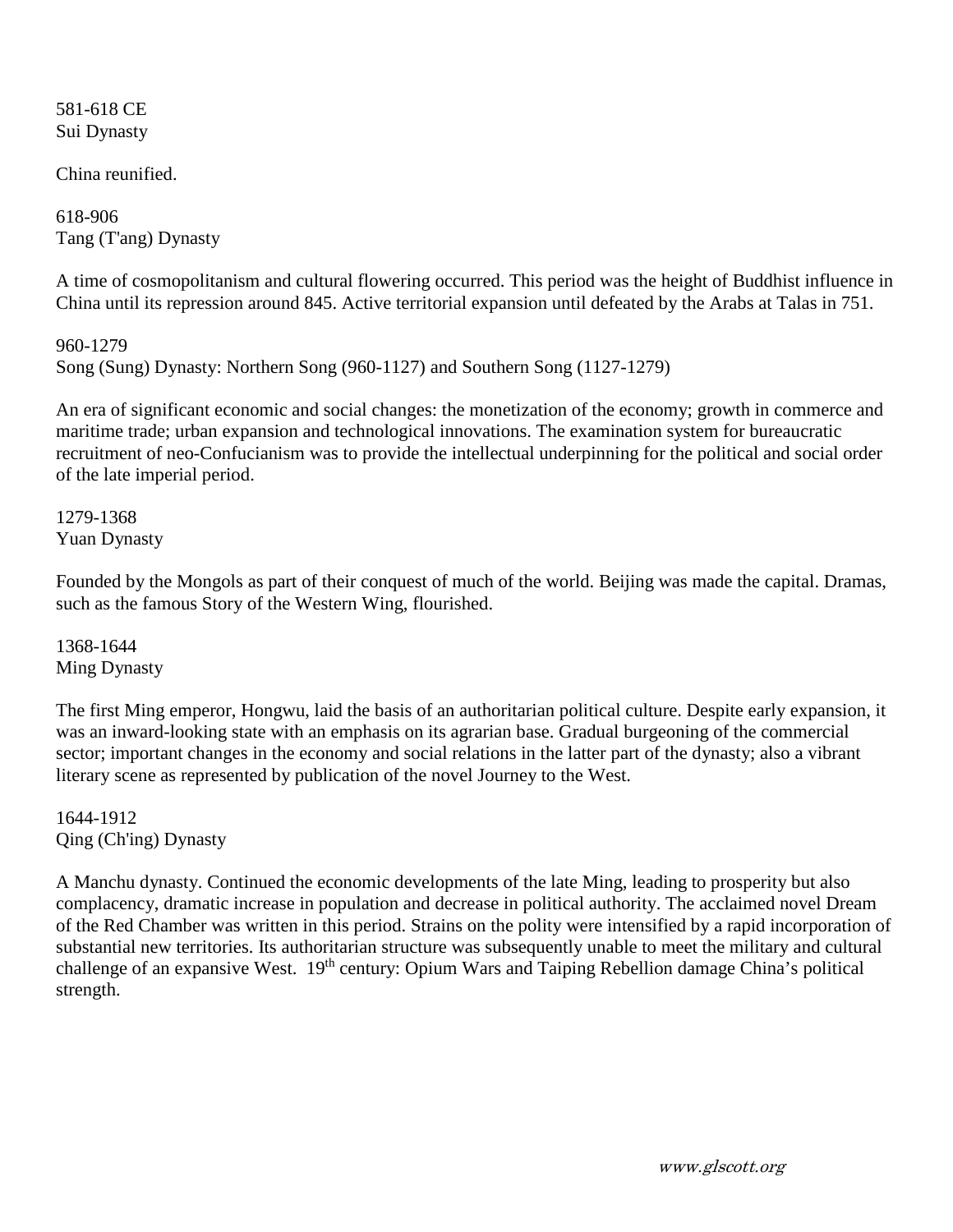581-618 CE Sui Dynasty

China reunified.

618-906 Tang (T'ang) Dynasty

A time of cosmopolitanism and cultural flowering occurred. This period was the height of Buddhist influence in China until its repression around 845. Active territorial expansion until defeated by the Arabs at Talas in 751.

960-1279 Song (Sung) Dynasty: Northern Song (960-1127) and Southern Song (1127-1279)

An era of significant economic and social changes: the monetization of the economy; growth in commerce and maritime trade; urban expansion and technological innovations. The examination system for bureaucratic recruitment of neo-Confucianism was to provide the intellectual underpinning for the political and social order of the late imperial period.

1279-1368 Yuan Dynasty

Founded by the Mongols as part of their conquest of much of the world. Beijing was made the capital. Dramas, such as the famous Story of the Western Wing, flourished.

1368-1644 Ming Dynasty

The first Ming emperor, Hongwu, laid the basis of an authoritarian political culture. Despite early expansion, it was an inward-looking state with an emphasis on its agrarian base. Gradual burgeoning of the commercial sector; important changes in the economy and social relations in the latter part of the dynasty; also a vibrant literary scene as represented by publication of the novel Journey to the West.

1644-1912 Qing (Ch'ing) Dynasty

A Manchu dynasty. Continued the economic developments of the late Ming, leading to prosperity but also complacency, dramatic increase in population and decrease in political authority. The acclaimed novel Dream of the Red Chamber was written in this period. Strains on the polity were intensified by a rapid incorporation of substantial new territories. Its authoritarian structure was subsequently unable to meet the military and cultural challenge of an expansive West. 19<sup>th</sup> century: Opium Wars and Taiping Rebellion damage China's political strength.